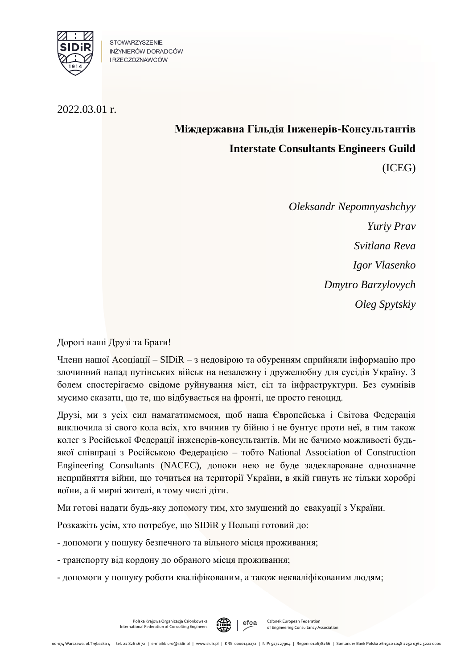

STOWARZYSZENIE INŻYNIERÓW DORADCÓW **IRZECZOZNAWCÓW** 

2022.03.01 r.

## **Міждержавна Гільдія Інженерів-Консультантів Interstate Consultants Engineers Guild**

(ICEG)

*Oleksandr Nepomnyashchyy Yuriy Prav Svitlana Reva Igor Vlasenko Dmytro Barzylovych Oleg Spytskiy*

Дорогі наші Друзі та Брати!

Члени нашої Асоціації – SIDiR – з недовірою та обуренням сприйняли інформацію про злочинний напад путінських військ на незалежну і дружелюбну для сусідів Україну. З болем спостерігаємо свідоме руйнування міст, сіл та інфраструктури. Без сумнівів мусимо сказати, що те, що відбувається на фронті, це просто геноцид.

Друзі, ми з усіх сил намагатимемося, щоб наша Європейська і Світова Федерація виключила зі свого кола всіх, хто вчинив ту бійню і не бунтує проти неї, в тим також колег з Російської Федерації інженерів-консультантів. Ми не бачимо можливості будьякої співпраці з Російською Федерацією – тобто National Association of Construction Engineering Consultants (NACEC), допоки нею не буде задеклароване однозначне неприйняття війни, що точиться на території України, в якій гинуть не тільки хоробрі воїни, а й мирні жителі, в тому числі діти.

Ми готові надати будь-яку допомогу тим, хто змушений до евакуації з України.

Розкажіть усім, хто потребує, що SIDiR у Польщі готовий до:

- допомоги у пошуку безпечного та вільного місця проживання;

- транспорту від кордону до обраного місця проживання;

- допомоги у пошуку роботи кваліфікованим, а також некваліфікованим людям;



Członek European Federation of Engineering Consultancy Association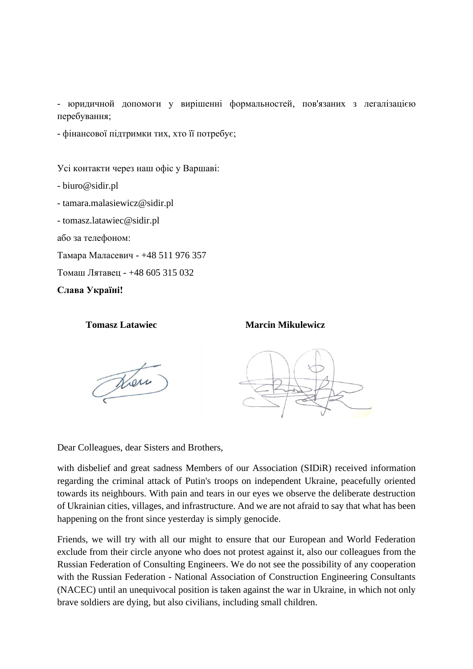- юридичной допомоги у вирішенні формальностей, пов'язаних з легалізацією перебування;

- фінансової підтримки тих, хто її потребує;

Усі контакти через наш офіс у Варшаві:

- biuro@sidir.pl

- tamara.malasiewicz@sidir.pl

- tomasz.latawiec@sidir.pl

або за телефоном:

Тамара Маласевич - +48 511 976 357

Томаш Лятавец - +48 605 315 032

**Слава Україні!**

## **Tomasz Latawiec Marcin Mikulewicz**

Here



Dear Colleagues, dear Sisters and Brothers,

with disbelief and great sadness Members of our Association (SIDiR) received information regarding the criminal attack of Putin's troops on independent Ukraine, peacefully oriented towards its neighbours. With pain and tears in our eyes we observe the deliberate destruction of Ukrainian cities, villages, and infrastructure. And we are not afraid to say that what has been happening on the front since yesterday is simply genocide.

Friends, we will try with all our might to ensure that our European and World Federation exclude from their circle anyone who does not protest against it, also our colleagues from the Russian Federation of Consulting Engineers. We do not see the possibility of any cooperation with the Russian Federation - National Association of Construction Engineering Consultants (NACEC) until an unequivocal position is taken against the war in Ukraine, in which not only brave soldiers are dying, but also civilians, including small children.